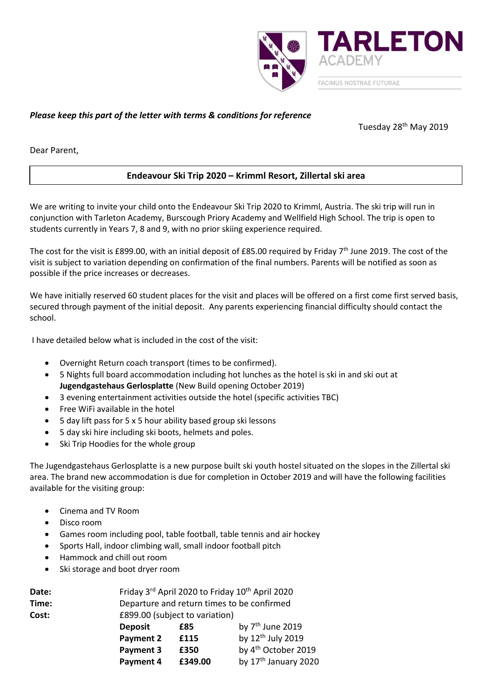

# *Please keep this part of the letter with terms & conditions for reference*

Tuesday 28th May 2019

Dear Parent,

# **Endeavour Ski Trip 2020 – Krimml Resort, Zillertal ski area**

We are writing to invite your child onto the Endeavour Ski Trip 2020 to Krimml, Austria. The ski trip will run in conjunction with Tarleton Academy, Burscough Priory Academy and Wellfield High School. The trip is open to students currently in Years 7, 8 and 9, with no prior skiing experience required.

The cost for the visit is £899.00, with an initial deposit of £85.00 required by Friday 7<sup>th</sup> June 2019. The cost of the visit is subject to variation depending on confirmation of the final numbers. Parents will be notified as soon as possible if the price increases or decreases.

We have initially reserved 60 student places for the visit and places will be offered on a first come first served basis. secured through payment of the initial deposit. Any parents experiencing financial difficulty should contact the school.

I have detailed below what is included in the cost of the visit:

- Overnight Return coach transport (times to be confirmed).
- 5 Nights full board accommodation including hot lunches as the hotel is ski in and ski out at **Jugendgastehaus Gerlosplatte** (New Build opening October 2019)
- 3 evening entertainment activities outside the hotel (specific activities TBC)
- Free WiFi available in the hotel
- 5 day lift pass for 5 x 5 hour ability based group ski lessons
- 5 day ski hire including ski boots, helmets and poles.
- Ski Trip Hoodies for the whole group

The Jugendgastehaus Gerlosplatte is a new purpose built ski youth hostel situated on the slopes in the Zillertal ski area. The brand new accommodation is due for completion in October 2019 and will have the following facilities available for the visiting group:

- Cinema and TV Room
- Disco room
- Games room including pool, table football, table tennis and air hockey
- Sports Hall, indoor climbing wall, small indoor football pitch
- Hammock and chill out room
- Ski storage and boot dryer room

| Date: | Friday 3rd April 2020 to Friday 10 <sup>th</sup> April 2020 |         |                                  |
|-------|-------------------------------------------------------------|---------|----------------------------------|
| Time: | Departure and return times to be confirmed                  |         |                                  |
| Cost: | £899.00 (subject to variation)                              |         |                                  |
|       | <b>Deposit</b>                                              | £85     | by 7 <sup>th</sup> June 2019     |
|       | <b>Payment 2</b>                                            | £115    | by 12 <sup>th</sup> July 2019    |
|       | Payment 3                                                   | £350    | by 4 <sup>th</sup> October 2019  |
|       | Payment 4                                                   | £349.00 | by 17 <sup>th</sup> January 2020 |
|       |                                                             |         |                                  |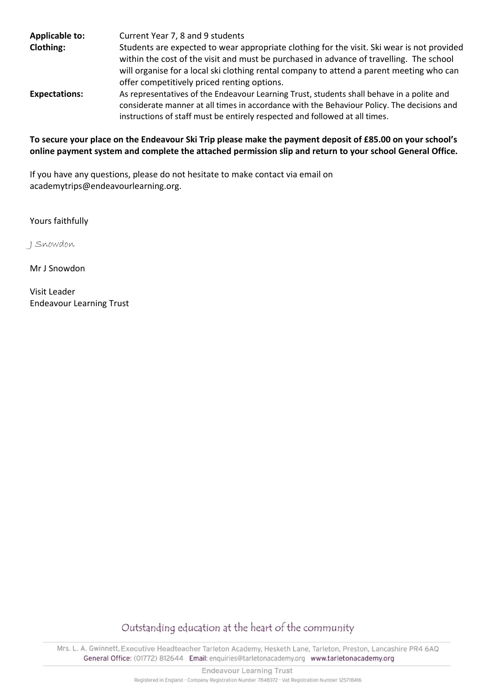| <b>Applicable to:</b> | Current Year 7, 8 and 9 students                                                                                                                                                                                                                                       |
|-----------------------|------------------------------------------------------------------------------------------------------------------------------------------------------------------------------------------------------------------------------------------------------------------------|
| <b>Clothing:</b>      | Students are expected to wear appropriate clothing for the visit. Ski wear is not provided<br>within the cost of the visit and must be purchased in advance of travelling. The school                                                                                  |
|                       | will organise for a local ski clothing rental company to attend a parent meeting who can<br>offer competitively priced renting options.                                                                                                                                |
| <b>Expectations:</b>  | As representatives of the Endeavour Learning Trust, students shall behave in a polite and<br>considerate manner at all times in accordance with the Behaviour Policy. The decisions and<br>instructions of staff must be entirely respected and followed at all times. |

## **To secure your place on the Endeavour Ski Trip please make the payment deposit of £85.00 on your school's online payment system and complete the attached permission slip and return to your school General Office.**

If you have any questions, please do not hesitate to make contact via email on academytrips@endeavourlearning.org.

Yours faithfully

J Snowdon

Mr J Snowdon

Visit Leader Endeavour Learning Trust

Outstanding education at the heart of the community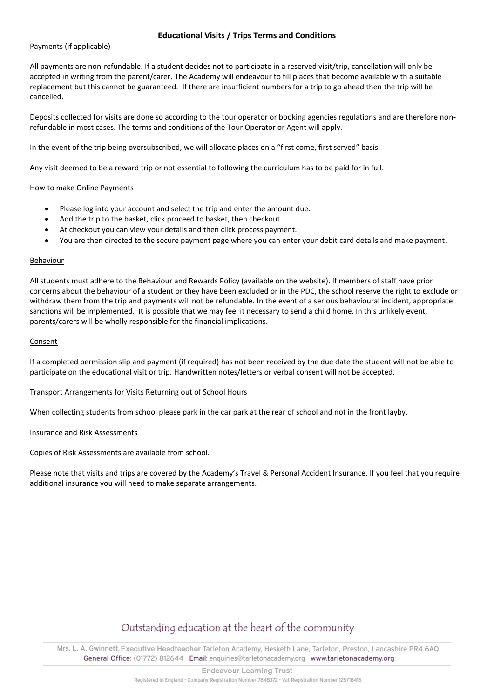### **Educational Visits / Trips Terms and Conditions**

### Payments (if applicable)

All payments are non-refundable. If a student decides not to participate in a reserved visit/trip, cancellation will only be accepted in writing from the parent/carer. The Academy will endeavour to fill places that become available with a suitable replacement but this cannot be guaranteed. If there are insufficient numbers for a trip to go ahead then the trip will be cancelled.

Deposits collected for visits are done so according to the tour operator or booking agencies regulations and are therefore nonrefundable in most cases. The terms and conditions of the Tour Operator or Agent will apply.

In the event of the trip being oversubscribed, we will allocate places on a "first come, first served" basis.

Any visit deemed to be a reward trip or not essential to following the curriculum has to be paid for in full.

#### How to make Online Payments

- Please log into your account and select the trip and enter the amount due.
- Add the trip to the basket, click proceed to basket, then checkout.
- At checkout you can view your details and then click process payment.
- You are then directed to the secure payment page where you can enter your debit card details and make payment.

#### Behaviour

All students must adhere to the Behaviour and Rewards Policy (available on the website). If members of staff have prior concerns about the behaviour of a student or they have been excluded or in the PDC, the school reserve the right to exclude or withdraw them from the trip and payments will not be refundable. In the event of a serious behavioural incident, appropriate sanctions will be implemented. It is possible that we may feel it necessary to send a child home. In this unlikely event, parents/carers will be wholly responsible for the financial implications.

#### Consent

If a completed permission slip and payment (if required) has not been received by the due date the student will not be able to participate on the educational visit or trip. Handwritten notes/letters or verbal consent will not be accepted.

#### Transport Arrangements for Visits Returning out of School Hours

When collecting students from school please park in the car park at the rear of school and not in the front layby.

#### Insurance and Risk Assessments

Copies of Risk Assessments are available from school.

Please note that visits and trips are covered by the Academy's Travel & Personal Accident Insurance. If you feel that you require additional insurance you will need to make separate arrangements.

# Outstanding education at the heart of the community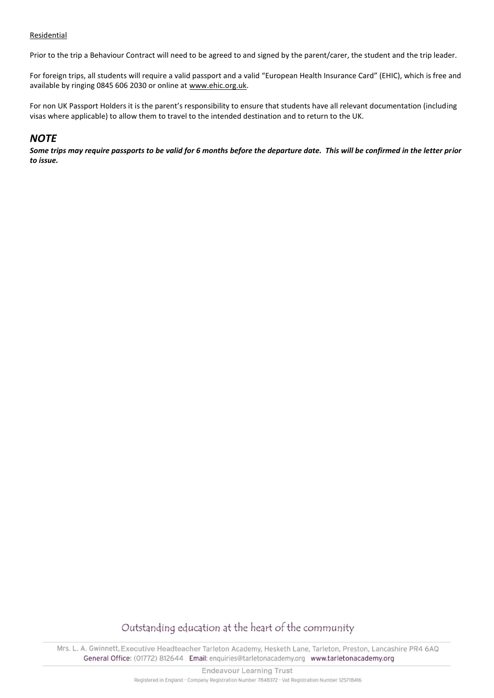### Residential

Prior to the trip a Behaviour Contract will need to be agreed to and signed by the parent/carer, the student and the trip leader.

For foreign trips, all students will require a valid passport and a valid "European Health Insurance Card" (EHIC), which is free and available by ringing 0845 606 2030 or online at [www.ehic.org.uk.](http://www.ehic.org.uk/)

For non UK Passport Holders it is the parent's responsibility to ensure that students have all relevant documentation (including visas where applicable) to allow them to travel to the intended destination and to return to the UK.

# *NOTE*

*Some trips may require passports to be valid for 6 months before the departure date. This will be confirmed in the letter prior to issue.*

# Outstanding education at the heart of the community